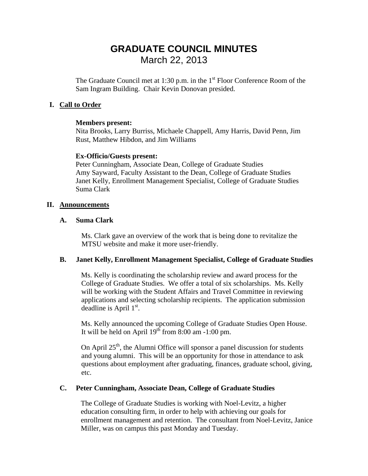# **GRADUATE COUNCIL MINUTES**  March 22, 2013

The Graduate Council met at 1:30 p.m. in the  $1<sup>st</sup>$  Floor Conference Room of the Sam Ingram Building. Chair Kevin Donovan presided.

## **I. Call to Order**

## **Members present:**

Nita Brooks, Larry Burriss, Michaele Chappell, Amy Harris, David Penn, Jim Rust, Matthew Hibdon, and Jim Williams

## **Ex-Officio/Guests present:**

Peter Cunningham, Associate Dean, College of Graduate Studies Amy Sayward, Faculty Assistant to the Dean, College of Graduate Studies Janet Kelly, Enrollment Management Specialist, College of Graduate Studies Suma Clark

## **II. Announcements**

## **A. Suma Clark**

Ms. Clark gave an overview of the work that is being done to revitalize the MTSU website and make it more user-friendly.

## **B. Janet Kelly, Enrollment Management Specialist, College of Graduate Studies**

Ms. Kelly is coordinating the scholarship review and award process for the College of Graduate Studies. We offer a total of six scholarships. Ms. Kelly will be working with the Student Affairs and Travel Committee in reviewing applications and selecting scholarship recipients. The application submission  $deadline$  is April  $1<sup>st</sup>$ .

 Ms. Kelly announced the upcoming College of Graduate Studies Open House. It will be held on April  $19^{th}$  from 8:00 am -1:00 pm.

On April  $25<sup>th</sup>$ , the Alumni Office will sponsor a panel discussion for students and young alumni. This will be an opportunity for those in attendance to ask questions about employment after graduating, finances, graduate school, giving, etc.

## **C. Peter Cunningham, Associate Dean, College of Graduate Studies**

The College of Graduate Studies is working with Noel-Levitz, a higher education consulting firm, in order to help with achieving our goals for enrollment management and retention. The consultant from Noel-Levitz, Janice Miller, was on campus this past Monday and Tuesday.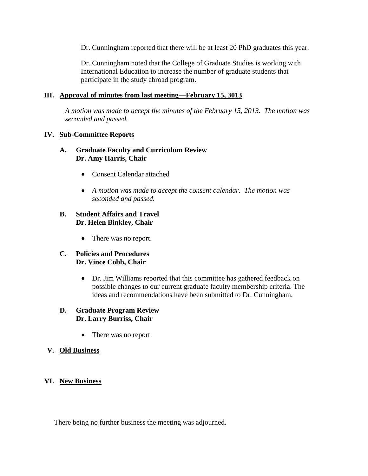Dr. Cunningham reported that there will be at least 20 PhD graduates this year.

Dr. Cunningham noted that the College of Graduate Studies is working with International Education to increase the number of graduate students that participate in the study abroad program.

## **III. Approval of minutes from last meeting—February 15, 3013**

 *A motion was made to accept the minutes of the February 15, 2013. The motion was seconded and passed.* 

#### **IV. Sub-Committee Reports**

### **A. Graduate Faculty and Curriculum Review Dr. Amy Harris, Chair**

- Consent Calendar attached
- *A motion was made to accept the consent calendar. The motion was seconded and passed.*

## **B. Student Affairs and Travel Dr. Helen Binkley, Chair**

• There was no report.

#### **C. Policies and Procedures Dr. Vince Cobb, Chair**

• Dr. Jim Williams reported that this committee has gathered feedback on possible changes to our current graduate faculty membership criteria. The ideas and recommendations have been submitted to Dr. Cunningham.

### **D. Graduate Program Review Dr. Larry Burriss, Chair**

• There was no report

## **V. Old Business**

## **VI. New Business**

There being no further business the meeting was adjourned.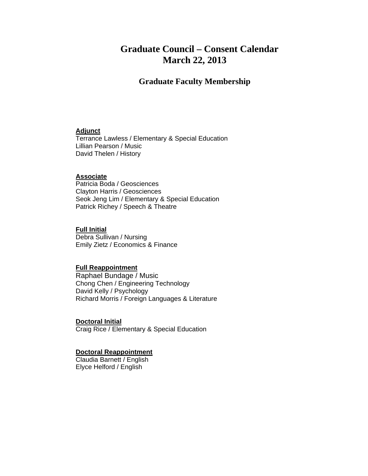# **Graduate Council – Consent Calendar March 22, 2013**

## **Graduate Faculty Membership**

## **Adjunct**

Terrance Lawless / Elementary & Special Education Lillian Pearson / Music David Thelen / History

## **Associate**

Patricia Boda / Geosciences Clayton Harris / Geosciences Seok Jeng Lim / Elementary & Special Education Patrick Richey / Speech & Theatre

### **Full Initial**

Debra Sullivan / Nursing Emily Zietz / Economics & Finance

#### **Full Reappointment**

Raphael Bundage / Music Chong Chen / Engineering Technology David Kelly / Psychology Richard Morris / Foreign Languages & Literature

### **Doctoral Initial**

Craig Rice / Elementary & Special Education

## **Doctoral Reappointment**

Claudia Barnett / English Elyce Helford / English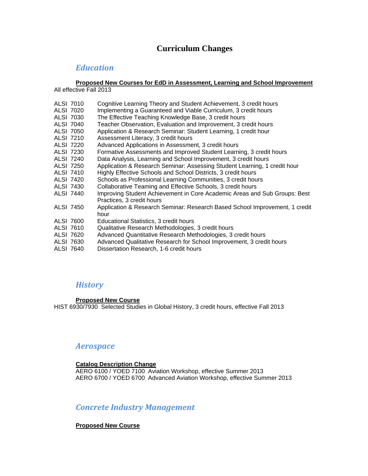## **Curriculum Changes**

## *Education*

#### **Proposed New Courses for EdD in Assessment, Learning and School Improvement**  All effective Fall 2013

- ALSI 7010 Cognitive Learning Theory and Student Achievement, 3 credit hours<br>ALSI 7020 Implementing a Guaranteed and Viable Curriculum, 3 credit hours ALSI 7020 Implementing a Guaranteed and Viable Curriculum, 3 credit hours<br>ALSI 7030 The Effective Teaching Knowledge Base, 3 credit hours
- The Effective Teaching Knowledge Base, 3 credit hours
- ALSI 7040 Teacher Observation, Evaluation and Improvement, 3 credit hours<br>ALSI 7050 Application & Research Seminar: Student Learning, 1 credit hour
- Application & Research Seminar: Student Learning, 1 credit hour
- ALSI 7210 Assessment Literacy, 3 credit hours
- ALSI 7220 Advanced Applications in Assessment, 3 credit hours<br>ALSI 7230 Formative Assessments and Improved Student Learni
- ALSI 7230 Formative Assessments and Improved Student Learning, 3 credit hours <br>ALSI 7240 Data Analysis, Learning and School Improvement, 3 credit hours
- ALSI 7240 Data Analysis, Learning and School Improvement, 3 credit hours<br>ALSI 7250 Application & Research Seminar: Assessing Student Learning, 1
- Application & Research Seminar: Assessing Student Learning, 1 credit hour
- ALSI 7410 Highly Effective Schools and School Districts, 3 credit hours
- ALSI 7420 Schools as Professional Learning Communities, 3 credit hours
- ALSI 7430 Collaborative Teaming and Effective Schools, 3 credit hours
- ALSI 7440 Improving Student Achievement in Core Academic Areas and Sub Groups: Best Practices, 3 credit hours
- ALSI 7450 Application & Research Seminar: Research Based School Improvement, 1 credit hour
- ALSI 7600 Educational Statistics, 3 credit hours
- Qualitative Research Methodologies, 3 credit hours
- ALSI 7620 Advanced Quantitative Research Methodologies, 3 credit hours<br>ALSI 7630 Advanced Qualitative Research for School Improvement, 3 cred
- ALSI 7630 Advanced Qualitative Research for School Improvement, 3 credit hours<br>ALSI 7640 Dissertation Research, 1-6 credit hours
- Dissertation Research, 1-6 credit hours

## *History*

#### **Proposed New Course**

HIST 6930/7930 Selected Studies in Global History, 3 credit hours, effective Fall 2013

## *Aerospace*

#### **Catalog Description Change**

AERO 6100 / YOED 7100 Aviation Workshop, effective Summer 2013 AERO 6700 / YOED 6700 Advanced Aviation Workshop, effective Summer 2013

## *Concrete Industry Management*

**Proposed New Course**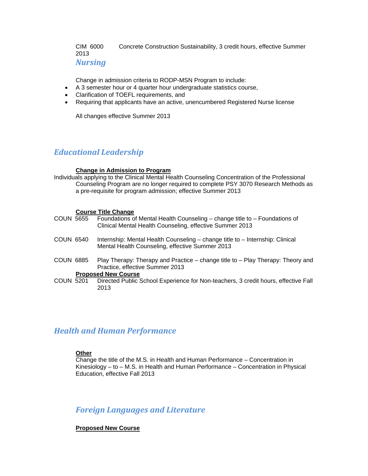CIM 6000 Concrete Construction Sustainability, 3 credit hours, effective Summer 2013 *Nursing*

Change in admission criteria to RODP-MSN Program to include:

- A 3 semester hour or 4 quarter hour undergraduate statistics course,
- Clarification of TOEFL requirements, and
- Requiring that applicants have an active, unencumbered Registered Nurse license

All changes effective Summer 2013

## *Educational Leadership*

#### **Change in Admission to Program**

Individuals applying to the Clinical Mental Health Counseling Concentration of the Professional Counseling Program are no longer required to complete PSY 3070 Research Methods as a pre-requisite for program admission; effective Summer 2013

#### **Course Title Change**

| <b>COUN 5655</b>           |  | Foundations of Mental Health Counseling – change title to – Foundations of<br>Clinical Mental Health Counseling, effective Summer 2013 |
|----------------------------|--|----------------------------------------------------------------------------------------------------------------------------------------|
| COUN 6540                  |  | Internship: Mental Health Counseling - change title to - Internship: Clinical<br>Mental Health Counseling, effective Summer 2013       |
| COUN 6885                  |  | Play Therapy: Therapy and Practice - change title to - Play Therapy: Theory and<br>Practice, effective Summer 2013                     |
| <b>Proposed New Course</b> |  |                                                                                                                                        |
| COUN 5201                  |  | Directed Public School Experience for Non-teachers, 3 credit hours, effective Fall<br>2013                                             |

## *Health and Human Performance*

#### **Other**

Change the title of the M.S. in Health and Human Performance – Concentration in Kinesiology – to – M.S. in Health and Human Performance – Concentration in Physical Education, effective Fall 2013

## *Foreign Languages and Literature*

#### **Proposed New Course**